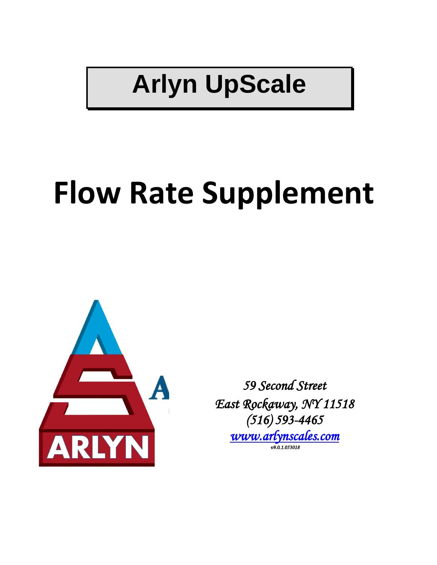## **Arlyn UpScale**

# **Flow Rate Supplement**



*59 Second Street East Rockaway, NY 11518 (516) 593-4465 [www.arlynscales.com](http://www.arlynscales.com/)  v9.0.1.053018*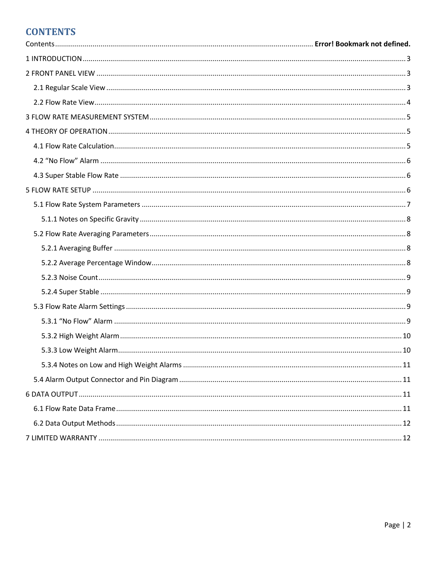## **CONTENTS**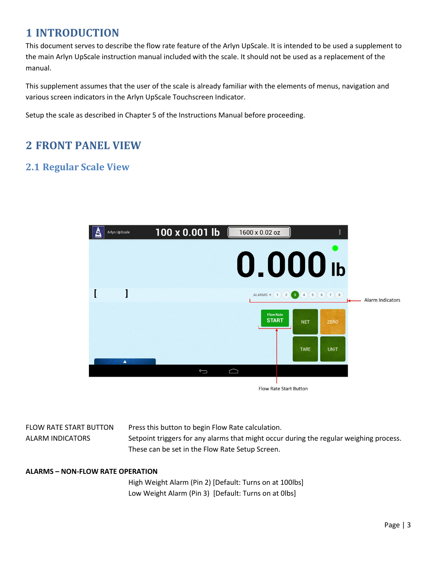## <span id="page-2-0"></span>**1 INTRODUCTION**

This document serves to describe the flow rate feature of the Arlyn UpScale. It is intended to be used a supplement to the main Arlyn UpScale instruction manual included with the scale. It should not be used as a replacement of the manual.

This supplement assumes that the user of the scale is already familiar with the elements of menus, navigation and various screen indicators in the Arlyn UpScale Touchscreen Indicator.

Setup the scale as described in Chapter 5 of the Instructions Manual before proceeding.

## <span id="page-2-1"></span>**2 FRONT PANEL VIEW**

## <span id="page-2-2"></span>**2.1 Regular Scale View**



FLOW RATE START BUTTON Press this button to begin Flow Rate calculation.

ALARM INDICATORS Setpoint triggers for any alarms that might occur during the regular weighing process. These can be set in the Flow Rate Setup Screen.

#### **ALARMS – NON-FLOW RATE OPERATION**

High Weight Alarm (Pin 2) [Default: Turns on at 100lbs] Low Weight Alarm (Pin 3) [Default: Turns on at 0lbs]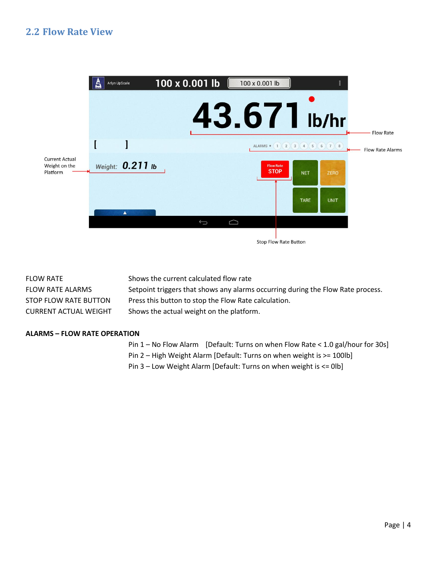#### <span id="page-3-0"></span>**2.2 Flow Rate View**



| <b>FLOW RATE</b>             | Shows the current calculated flow rate                                          |
|------------------------------|---------------------------------------------------------------------------------|
| <b>FLOW RATE ALARMS</b>      | Setpoint triggers that shows any alarms occurring during the Flow Rate process. |
| STOP FLOW RATE BUTTON        | Press this button to stop the Flow Rate calculation.                            |
| <b>CURRENT ACTUAL WEIGHT</b> | Shows the actual weight on the platform.                                        |

#### **ALARMS – FLOW RATE OPERATION**

Pin 1 – No Flow Alarm [Default: Turns on when Flow Rate < 1.0 gal/hour for 30s]

Pin 2 – High Weight Alarm [Default: Turns on when weight is >= 100lb]

Pin 3 – Low Weight Alarm [Default: Turns on when weight is <= 0lb]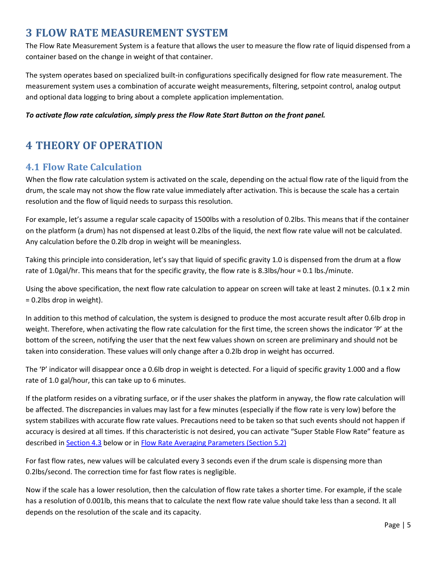## <span id="page-4-0"></span>**3 FLOW RATE MEASUREMENT SYSTEM**

The Flow Rate Measurement System is a feature that allows the user to measure the flow rate of liquid dispensed from a container based on the change in weight of that container.

The system operates based on specialized built-in configurations specifically designed for flow rate measurement. The measurement system uses a combination of accurate weight measurements, filtering, setpoint control, analog output and optional data logging to bring about a complete application implementation.

#### *To activate flow rate calculation, simply press the Flow Rate Start Button on the front panel.*

## <span id="page-4-1"></span>**4 THEORY OF OPERATION**

#### <span id="page-4-2"></span>**4.1 Flow Rate Calculation**

When the flow rate calculation system is activated on the scale, depending on the actual flow rate of the liquid from the drum, the scale may not show the flow rate value immediately after activation. This is because the scale has a certain resolution and the flow of liquid needs to surpass this resolution.

For example, let's assume a regular scale capacity of 1500lbs with a resolution of 0.2lbs. This means that if the container on the platform (a drum) has not dispensed at least 0.2lbs of the liquid, the next flow rate value will not be calculated. Any calculation before the 0.2lb drop in weight will be meaningless.

Taking this principle into consideration, let's say that liquid of specific gravity 1.0 is dispensed from the drum at a flow rate of 1.0gal/hr. This means that for the specific gravity, the flow rate is 8.3lbs/hour ≈ 0.1 lbs./minute.

Using the above specification, the next flow rate calculation to appear on screen will take at least 2 minutes. (0.1 x 2 min = 0.2lbs drop in weight).

In addition to this method of calculation, the system is designed to produce the most accurate result after 0.6lb drop in weight. Therefore, when activating the flow rate calculation for the first time, the screen shows the indicator 'P' at the bottom of the screen, notifying the user that the next few values shown on screen are preliminary and should not be taken into consideration. These values will only change after a 0.2lb drop in weight has occurred.

The 'P' indicator will disappear once a 0.6lb drop in weight is detected. For a liquid of specific gravity 1.000 and a flow rate of 1.0 gal/hour, this can take up to 6 minutes.

If the platform resides on a vibrating surface, or if the user shakes the platform in anyway, the flow rate calculation will be affected. The discrepancies in values may last for a few minutes (especially if the flow rate is very low) before the system stabilizes with accurate flow rate values. Precautions need to be taken so that such events should not happen if accuracy is desired at all times. If this characteristic is not desired, you can activate "Super Stable Flow Rate" feature as described in **Section 4.3** below or i[n Flow Rate Averaging Parameters](#page-7-4) (Section 5.2)

For fast flow rates, new values will be calculated every 3 seconds even if the drum scale is dispensing more than 0.2lbs/second. The correction time for fast flow rates is negligible.

Now if the scale has a lower resolution, then the calculation of flow rate takes a shorter time. For example, if the scale has a resolution of 0.001lb, this means that to calculate the next flow rate value should take less than a second. It all depends on the resolution of the scale and its capacity.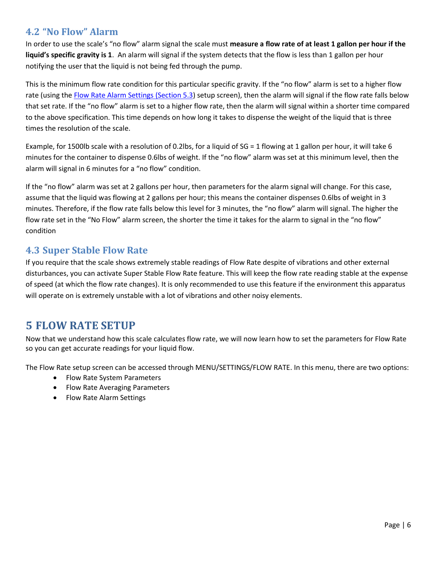## <span id="page-5-0"></span>**4.2 "No Flow" Alarm**

In order to use the scale's "no flow" alarm signal the scale must **measure a flow rate of at least 1 gallon per hour if the liquid's specific gravity is 1**. An alarm will signal if the system detects that the flow is less than 1 gallon per hour notifying the user that the liquid is not being fed through the pump.

This is the minimum flow rate condition for this particular specific gravity. If the "no flow" alarm is set to a higher flow rate (using th[e Flow Rate Alarm Settings](#page-7-1) (Section 5.3) setup screen), then the alarm will signal if the flow rate falls below that set rate. If the "no flow" alarm is set to a higher flow rate, then the alarm will signal within a shorter time compared to the above specification. This time depends on how long it takes to dispense the weight of the liquid that is three times the resolution of the scale.

Example, for 1500lb scale with a resolution of 0.2lbs, for a liquid of SG = 1 flowing at 1 gallon per hour, it will take 6 minutes for the container to dispense 0.6lbs of weight. If the "no flow" alarm was set at this minimum level, then the alarm will signal in 6 minutes for a "no flow" condition.

If the "no flow" alarm was set at 2 gallons per hour, then parameters for the alarm signal will change. For this case, assume that the liquid was flowing at 2 gallons per hour; this means the container dispenses 0.6lbs of weight in 3 minutes. Therefore, if the flow rate falls below this level for 3 minutes, the "no flow" alarm will signal. The higher the flow rate set in the "No Flow" alarm screen, the shorter the time it takes for the alarm to signal in the "no flow" condition

## <span id="page-5-1"></span>**4.3 Super Stable Flow Rate**

If you require that the scale shows extremely stable readings of Flow Rate despite of vibrations and other external disturbances, you can activate Super Stable Flow Rate feature. This will keep the flow rate reading stable at the expense of speed (at which the flow rate changes). It is only recommended to use this feature if the environment this apparatus will operate on is extremely unstable with a lot of vibrations and other noisy elements.

## <span id="page-5-2"></span>**5 FLOW RATE SETUP**

Now that we understand how this scale calculates flow rate, we will now learn how to set the parameters for Flow Rate so you can get accurate readings for your liquid flow.

The Flow Rate setup screen can be accessed through MENU/SETTINGS/FLOW RATE. In this menu, there are two options:

- Flow Rate System Parameters
- Flow Rate Averaging Parameters
- Flow Rate Alarm Settings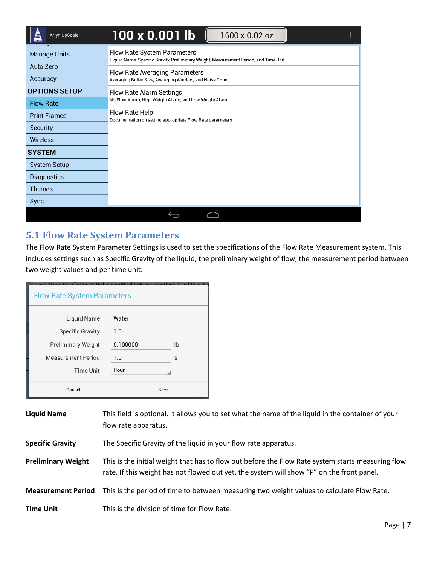| Arlyn UpScale         | 100 x 0.001 lb<br>1600 x 0.02 oz<br>F                                                                               |
|-----------------------|---------------------------------------------------------------------------------------------------------------------|
| <b>Manage Units</b>   | Flow Rate System Parameters<br>Liquid Name, Specific Gravity, Preliminary Weight, Measurement Period, and Time Unit |
| Auto Zero<br>Accuracy | Flow Rate Averaging Parameters<br>Averaging Buffer Size, Averaging Window, and Noise Count                          |
| <b>OPTIONS SETUP</b>  | Flow Rate Alarm Settings                                                                                            |
| <b>Flow Rate</b>      | No Flow Alarm, High Weight Alarm, and Low Weight Alarm<br>Flow Rate Help                                            |
| <b>Print Frames</b>   | Documentation on setting appropriate Flow Rate parameters                                                           |
| Security              |                                                                                                                     |
| Wireless              |                                                                                                                     |
| <b>SYSTEM</b>         |                                                                                                                     |
| <b>System Setup</b>   |                                                                                                                     |
| Diagnostics           |                                                                                                                     |
| <b>Themes</b>         |                                                                                                                     |
| Sync                  |                                                                                                                     |
|                       |                                                                                                                     |

## <span id="page-6-0"></span>**5.1 Flow Rate System Parameters**

The Flow Rate System Parameter Settings is used to set the specifications of the Flow Rate Measurement system. This includes settings such as Specific Gravity of the liquid, the preliminary weight of flow, the measurement period between two weight values and per time unit.

| <b>Flow Rate System Parameters</b>                                  |                          |      |
|---------------------------------------------------------------------|--------------------------|------|
| Liquid Name<br><b>Specific Gravity</b><br><b>Preliminary Weight</b> | Water<br>1.0<br>0.100000 | lb   |
| <b>Measurement Period</b>                                           | 1.0                      | S    |
| Time Unit                                                           | Hour                     |      |
| Cancel                                                              |                          | Save |

| <b>Liquid Name</b>        | This field is optional. It allows you to set what the name of the liquid in the container of your<br>flow rate apparatus.                                                                      |
|---------------------------|------------------------------------------------------------------------------------------------------------------------------------------------------------------------------------------------|
| <b>Specific Gravity</b>   | The Specific Gravity of the liquid in your flow rate apparatus.                                                                                                                                |
| <b>Preliminary Weight</b> | This is the initial weight that has to flow out before the Flow Rate system starts measuring flow<br>rate. If this weight has not flowed out yet, the system will show "P" on the front panel. |
| <b>Measurement Period</b> | This is the period of time to between measuring two weight values to calculate Flow Rate.                                                                                                      |
| <b>Time Unit</b>          | This is the division of time for Flow Rate.                                                                                                                                                    |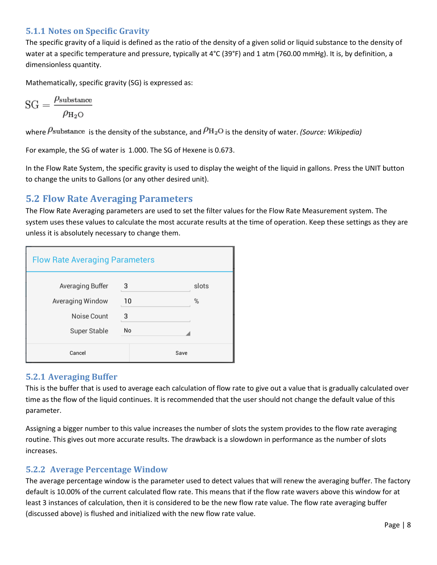#### <span id="page-7-0"></span>**5.1.1 Notes on Specific Gravity**

The specific gravity of a liquid is defined as the ratio of the density of a given solid or liquid substance to the density of water at a specific temperature and pressure, typically at 4°C (39°F) and 1 atm (760.00 mmHg). It is, by definition, a dimensionless quantity.

Mathematically, specific gravity (SG) is expressed as:

$$
SG = \frac{\rho_{\text{substrance}}}{\rho_{\text{H}_2\text{O}}}
$$

where  $P$ substance is the density of the substance, and  $P_{\text{H}_2\text{O}}$  is the density of water. *(Source: Wikipedia)* 

For example, the SG of water is 1.000. The SG of Hexene is 0.673.

<span id="page-7-4"></span>In the Flow Rate System, the specific gravity is used to display the weight of the liquid in gallons. Press the UNIT button to change the units to Gallons (or any other desired unit).

#### <span id="page-7-1"></span>**5.2 Flow Rate Averaging Parameters**

The Flow Rate Averaging parameters are used to set the filter values for the Flow Rate Measurement system. The system uses these values to calculate the most accurate results at the time of operation. Keep these settings as they are unless it is absolutely necessary to change them.

| <b>Flow Rate Averaging Parameters</b> |    |       |
|---------------------------------------|----|-------|
| Averaging Buffer                      | 3  | slots |
| Averaging Window                      | 10 | %     |
| Noise Count                           | 3  |       |
| Super Stable                          | No |       |
| Cancel                                |    | Save  |

#### <span id="page-7-2"></span>**5.2.1 Averaging Buffer**

This is the buffer that is used to average each calculation of flow rate to give out a value that is gradually calculated over time as the flow of the liquid continues. It is recommended that the user should not change the default value of this parameter.

Assigning a bigger number to this value increases the number of slots the system provides to the flow rate averaging routine. This gives out more accurate results. The drawback is a slowdown in performance as the number of slots increases.

#### <span id="page-7-3"></span>**5.2.2 Average Percentage Window**

The average percentage window is the parameter used to detect values that will renew the averaging buffer. The factory default is 10.00% of the current calculated flow rate. This means that if the flow rate wavers above this window for at least 3 instances of calculation, then it is considered to be the new flow rate value. The flow rate averaging buffer (discussed above) is flushed and initialized with the new flow rate value.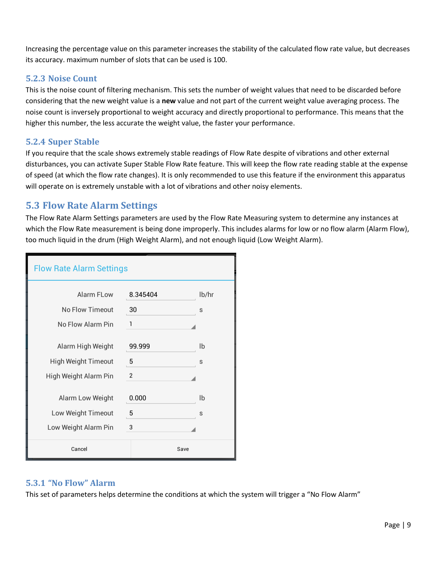Increasing the percentage value on this parameter increases the stability of the calculated flow rate value, but decreases its accuracy. maximum number of slots that can be used is 100.

#### <span id="page-8-0"></span>**5.2.3 Noise Count**

This is the noise count of filtering mechanism. This sets the number of weight values that need to be discarded before considering that the new weight value is a **new** value and not part of the current weight value averaging process. The noise count is inversely proportional to weight accuracy and directly proportional to performance. This means that the higher this number, the less accurate the weight value, the faster your performance.

#### <span id="page-8-1"></span>**5.2.4 Super Stable**

If you require that the scale shows extremely stable readings of Flow Rate despite of vibrations and other external disturbances, you can activate Super Stable Flow Rate feature. This will keep the flow rate reading stable at the expense of speed (at which the flow rate changes). It is only recommended to use this feature if the environment this apparatus will operate on is extremely unstable with a lot of vibrations and other noisy elements.

## <span id="page-8-2"></span>**5.3 Flow Rate Alarm Settings**

The Flow Rate Alarm Settings parameters are used by the Flow Rate Measuring system to determine any instances at which the Flow Rate measurement is being done improperly. This includes alarms for low or no flow alarm (Alarm Flow), too much liquid in the drum (High Weight Alarm), and not enough liquid (Low Weight Alarm).

| <b>Flow Rate Alarm Settings</b> |          |       |
|---------------------------------|----------|-------|
| Alarm FLow                      | 8.345404 | lb/hr |
| No Flow Timeout                 | 30       | S     |
| No Flow Alarm Pin               | 1        |       |
| Alarm High Weight               | 99.999   | Ib    |
| High Weight Timeout             | 5        | S     |
| High Weight Alarm Pin           | 2        |       |
| Alarm Low Weight                | 0.000    | lb    |
| Low Weight Timeout              | 5        | S     |
| Low Weight Alarm Pin            | 3        |       |
| Cancel                          | Save     |       |

#### <span id="page-8-3"></span>**5.3.1 "No Flow" Alarm**

This set of parameters helps determine the conditions at which the system will trigger a "No Flow Alarm"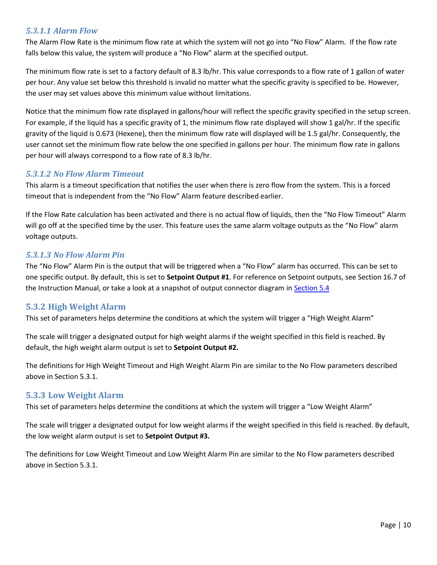#### *5.3.1.1 Alarm Flow*

The Alarm Flow Rate is the minimum flow rate at which the system will not go into "No Flow" Alarm. If the flow rate falls below this value, the system will produce a "No Flow" alarm at the specified output.

The minimum flow rate is set to a factory default of 8.3 lb/hr. This value corresponds to a flow rate of 1 gallon of water per hour. Any value set below this threshold is invalid no matter what the specific gravity is specified to be. However, the user may set values above this minimum value without limitations.

Notice that the minimum flow rate displayed in gallons/hour will reflect the specific gravity specified in the setup screen. For example, if the liquid has a specific gravity of 1, the minimum flow rate displayed will show 1 gal/hr. If the specific gravity of the liquid is 0.673 (Hexene), then the minimum flow rate will displayed will be 1.5 gal/hr. Consequently, the user cannot set the minimum flow rate below the one specified in gallons per hour. The minimum flow rate in gallons per hour will always correspond to a flow rate of 8.3 lb/hr.

#### *5.3.1.2 No Flow Alarm Timeout*

This alarm is a timeout specification that notifies the user when there is zero flow from the system. This is a forced timeout that is independent from the "No Flow" Alarm feature described earlier.

If the Flow Rate calculation has been activated and there is no actual flow of liquids, then the "No Flow Timeout" Alarm will go off at the specified time by the user. This feature uses the same alarm voltage outputs as the "No Flow" alarm voltage outputs.

#### *5.3.1.3 No Flow Alarm Pin*

The "No Flow" Alarm Pin is the output that will be triggered when a "No Flow" alarm has occurred. This can be set to one specific output. By default, this is set to **Setpoint Output #1**. For reference on Setpoint outputs, see Section 16.7 of the Instruction Manual, or take a look at a snapshot of output connector diagram in [Section 5.4](#page-10-1)

#### <span id="page-9-0"></span>**5.3.2 High Weight Alarm**

This set of parameters helps determine the conditions at which the system will trigger a "High Weight Alarm"

The scale will trigger a designated output for high weight alarms if the weight specified in this field is reached. By default, the high weight alarm output is set to **Setpoint Output #2.**

The definitions for High Weight Timeout and High Weight Alarm Pin are similar to the No Flow parameters described above in Section 5.3.1.

#### <span id="page-9-1"></span>**5.3.3 Low Weight Alarm**

This set of parameters helps determine the conditions at which the system will trigger a "Low Weight Alarm"

The scale will trigger a designated output for low weight alarms if the weight specified in this field is reached. By default, the low weight alarm output is set to **Setpoint Output #3.**

The definitions for Low Weight Timeout and Low Weight Alarm Pin are similar to the No Flow parameters described above in Section 5.3.1.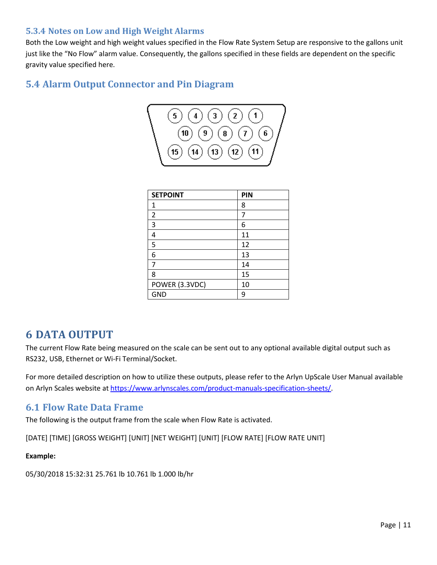#### <span id="page-10-0"></span>**5.3.4 Notes on Low and High Weight Alarms**

Both the Low weight and high weight values specified in the Flow Rate System Setup are responsive to the gallons unit just like the "No Flow" alarm value. Consequently, the gallons specified in these fields are dependent on the specific gravity value specified here.

## <span id="page-10-1"></span>**5.4 Alarm Output Connector and Pin Diagram**



| <b>SETPOINT</b> | PIN |
|-----------------|-----|
| 1               | 8   |
| $\overline{2}$  | 7   |
| 3               | 6   |
| 4               | 11  |
| 5               | 12  |
| 6               | 13  |
| 7               | 14  |
| 8               | 15  |
| POWER (3.3VDC)  | 10  |
| <b>GND</b>      | q   |

## <span id="page-10-2"></span>**6 DATA OUTPUT**

The current Flow Rate being measured on the scale can be sent out to any optional available digital output such as RS232, USB, Ethernet or Wi-Fi Terminal/Socket.

For more detailed description on how to utilize these outputs, please refer to the Arlyn UpScale User Manual available on Arlyn Scales website at [https://www.arlynscales.com/product-manuals-specification-sheets/.](https://www.arlynscales.com/product-manuals-specification-sheets/)

## <span id="page-10-3"></span>**6.1 Flow Rate Data Frame**

The following is the output frame from the scale when Flow Rate is activated.

[DATE] [TIME] [GROSS WEIGHT] [UNIT] [NET WEIGHT] [UNIT] [FLOW RATE] [FLOW RATE UNIT]

#### **Example:**

05/30/2018 15:32:31 25.761 lb 10.761 lb 1.000 lb/hr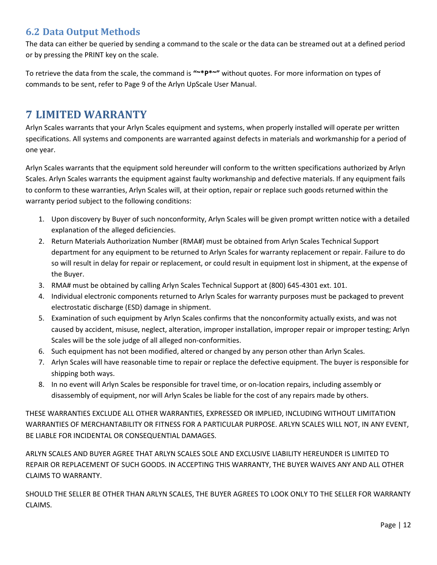## <span id="page-11-0"></span>**6.2 Data Output Methods**

The data can either be queried by sending a command to the scale or the data can be streamed out at a defined period or by pressing the PRINT key on the scale.

To retrieve the data from the scale, the command is **"~\*P\*~"** without quotes. For more information on types of commands to be sent, refer to Page 9 of the Arlyn UpScale User Manual.

## <span id="page-11-1"></span>**7 LIMITED WARRANTY**

Arlyn Scales warrants that your Arlyn Scales equipment and systems, when properly installed will operate per written specifications. All systems and components are warranted against defects in materials and workmanship for a period of one year.

Arlyn Scales warrants that the equipment sold hereunder will conform to the written specifications authorized by Arlyn Scales. Arlyn Scales warrants the equipment against faulty workmanship and defective materials. If any equipment fails to conform to these warranties, Arlyn Scales will, at their option, repair or replace such goods returned within the warranty period subject to the following conditions:

- 1. Upon discovery by Buyer of such nonconformity, Arlyn Scales will be given prompt written notice with a detailed explanation of the alleged deficiencies.
- 2. Return Materials Authorization Number (RMA#) must be obtained from Arlyn Scales Technical Support department for any equipment to be returned to Arlyn Scales for warranty replacement or repair. Failure to do so will result in delay for repair or replacement, or could result in equipment lost in shipment, at the expense of the Buyer.
- 3. RMA# must be obtained by calling Arlyn Scales Technical Support at (800) 645-4301 ext. 101.
- 4. Individual electronic components returned to Arlyn Scales for warranty purposes must be packaged to prevent electrostatic discharge (ESD) damage in shipment.
- 5. Examination of such equipment by Arlyn Scales confirms that the nonconformity actually exists, and was not caused by accident, misuse, neglect, alteration, improper installation, improper repair or improper testing; Arlyn Scales will be the sole judge of all alleged non-conformities.
- 6. Such equipment has not been modified, altered or changed by any person other than Arlyn Scales.
- 7. Arlyn Scales will have reasonable time to repair or replace the defective equipment. The buyer is responsible for shipping both ways.
- 8. In no event will Arlyn Scales be responsible for travel time, or on-location repairs, including assembly or disassembly of equipment, nor will Arlyn Scales be liable for the cost of any repairs made by others.

THESE WARRANTIES EXCLUDE ALL OTHER WARRANTIES, EXPRESSED OR IMPLIED, INCLUDING WITHOUT LIMITATION WARRANTIES OF MERCHANTABILITY OR FITNESS FOR A PARTICULAR PURPOSE. ARLYN SCALES WILL NOT, IN ANY EVENT, BE LIABLE FOR INCIDENTAL OR CONSEQUENTIAL DAMAGES.

ARLYN SCALES AND BUYER AGREE THAT ARLYN SCALES SOLE AND EXCLUSIVE LIABILITY HEREUNDER IS LIMITED TO REPAIR OR REPLACEMENT OF SUCH GOODS. IN ACCEPTING THIS WARRANTY, THE BUYER WAIVES ANY AND ALL OTHER CLAIMS TO WARRANTY.

SHOULD THE SELLER BE OTHER THAN ARLYN SCALES, THE BUYER AGREES TO LOOK ONLY TO THE SELLER FOR WARRANTY CLAIMS.